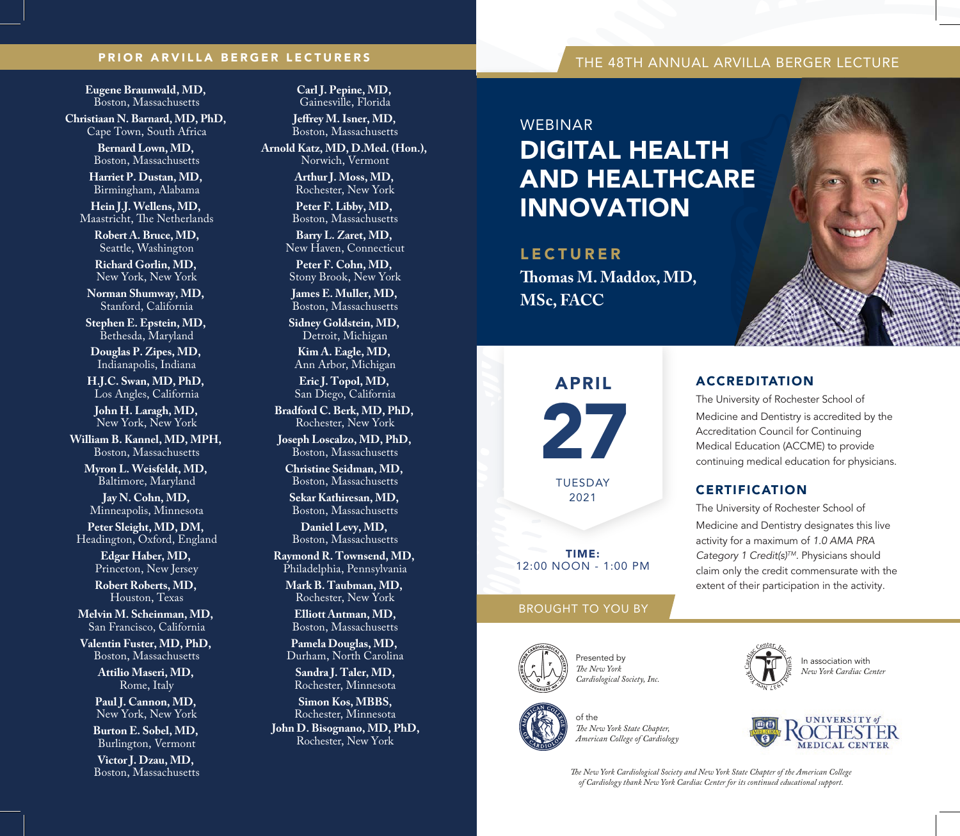# PRIOR ARVILLA BERGER LECTURERS THE 48TH ANNUAL ARVILLA BERGER LECTURE

**Eugene Braunwald, MD,**  Boston, Massachusetts

**Christiaan N. Barnard, MD, PhD,**  Cape Town, South Africa

> **Bernard Lown, MD,**  Boston, Massachusetts

**Harriet P. Dustan, MD,**  Birmingham, Alabama

**Hein J.J. Wellens, MD,**  Maastricht, The Netherlands

> **Robert A. Bruce, MD,** Seattle, Washington

**Richard Gorlin, MD,**  New York, New York

**Norman Shumway, MD,**  Stanford, California

**Stephen E. Epstein, MD,**  Bethesda, Maryland

**Douglas P. Zipes, MD,**  Indianapolis, Indiana

**H.J.C. Swan, MD, PhD,**  Los Angles, California

**John H. Laragh, MD,**  New York, New York

**William B. Kannel, MD, MPH,**  Boston, Massachusetts

**Myron L. Weisfeldt, MD,**  Baltimore, Maryland

**Jay N. Cohn, MD,**  Minneapolis, Minnesota

**Peter Sleight, MD, DM,**  Headington, Oxford, England

> **Edgar Haber, MD,**  Princeton, New Jersey

> **Robert Roberts, MD,**  Houston, Texas

**Melvin M. Scheinman, MD,**  San Francisco, California

**Valentin Fuster, MD, PhD,**  Boston, Massachusetts

> **Attilio Maseri, MD,**  Rome, Italy

**Paul J. Cannon, MD,**  New York, New York

**Burton E. Sobel, MD,**  Burlington, Vermont

**Victor J. Dzau, MD,**  Boston, Massachusetts **Carl J. Pepine, MD,**  Gainesville, Florida

**Jeffrey M. Isner, MD.** Boston, Massachusetts

**Arnold Katz, MD, D.Med. (Hon.),**  Norwich, Vermont

> **Arthur J. Moss, MD,**  Rochester, New York

**Peter F. Libby, MD,**  Boston, Massachusetts

**Barry L. Zaret, MD,**  New Haven, Connecticut

**Peter F. Cohn, MD,**  Stony Brook, New York **James E. Muller, MD,** 

Boston, Massachusetts **Sidney Goldstein, MD,**  Detroit, Michigan

**Kim A. Eagle, MD,**  Ann Arbor, Michigan

**Eric J. Topol, MD,**  San Diego, California

**Bradford C. Berk, MD, PhD,**  Rochester, New York

**Joseph Loscalzo, MD, PhD,**  Boston, Massachusetts

**Christine Seidman, MD,**  Boston, Massachusetts

**Sekar Kathiresan, MD,**  Boston, Massachusetts

**Daniel Levy, MD,**  Boston, Massachusetts

**Raymond R. Townsend, MD,**  Philadelphia, Pennsylvania

**Mark B. Taubman, MD,**  Rochester, New York

**Elliott Antman, MD,** Boston, Massachusetts

**Pamela Douglas, MD,**  Durham, North Carolina

**Sandra J. Taler, MD,** Rochester, Minnesota

**Simon Kos, MBBS,** Rochester, Minnesota **John D. Bisognano, MD, PhD,** Rochester, New York

## **WERINAR**

# DIGITAL HEALTH AND HEALTHCARE INNOVATION

LECTURER **omas M. Maddox, MD, MSc, FACC**

# The University of Rochester School of

Medicine and Dentistry is accredited by the Accreditation Council for Continuing Medical Education (ACCME) to provide continuing medical education for physicians.

## **CERTIFICATION**

ACCREDITATION

The University of Rochester School of Medicine and Dentistry designates this live activity for a maximum of *1.0 AMA PRA Category 1 Credit(s)TM.* Physicians should claim only the credit commensurate with the extent of their participation in the activity.

# BROUGHT TO YOU BY

TIME: 12:00 NOON - 1:00 PM

27

APRIL

TUESDAY 2021



Presented by  $The New York$ 



*Cardiological Society, Inc.*



*e New York State Chapter, American College of Cardiology*





*e New York Cardiological Society and New York State Chapter of the American College of Cardiology thank New York Cardiac Center for its continued educational support.*